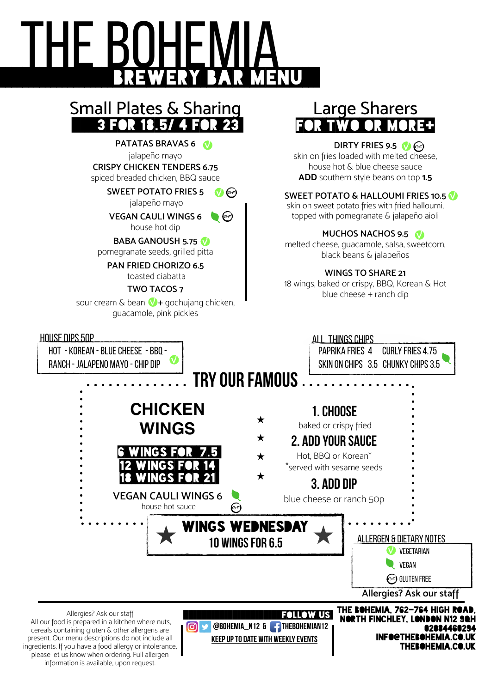# THE BOHEMIA **BREWERY BAR MENU**

### Small Plates & Sharing 3 FOR 18.5/ 4 FOR

**PATATAS BRAVAS 6** jalapeño mayo **CRISPY CHICKEN TENDERS 6.75**  spiced breaded chicken, BBQ sauce

> **SWEET POTATO FRIES 5** jalapeño mayo V G

> **VEGAN CAULI WINGS 6** house hot dip  $\bullet$  (se)

#### **BABA GANOUSH 5.75** V

pomegranate seeds, grilled pitta

**PAN FRIED CHORIZO 6.5** toasted ciabatta

#### **TWO TACOS 7**

sour cream & bean  $\bigvee$  + gochujang chicken, guacamole, pink pickles

#### HOUSE DIPS 50p

HOT - KOReaN - BLUE CHEESE - BBQ - RANCH - JALAPENO mAYO - CHIP DIP

## Large Sharers for two or more+

#### **DIRTY FRIES** 9.5 **O**

skin on fries loaded with melted cheese, house hot & blue cheese sauce **ADD** southern style beans on top **1.5** 

#### **SWEET POTATO & HALLOUMI FRIES 10.5** V

skin on sweet potato fries with fried halloumi, topped with pomegranate & jalapeño aioli

#### **MUCHOS NACHOS 9.5**

melted cheese, guacamole, salsa, sweetcorn, black beans & jalapeños

#### **WINGS TO SHARE 21**

18 wings, baked or crispy, BBQ, Korean & Hot blue cheese + ranch dip



ingredients. If you have a food allergy or intolerance, please let us know when ordering. Full allergen information is available, upon request.